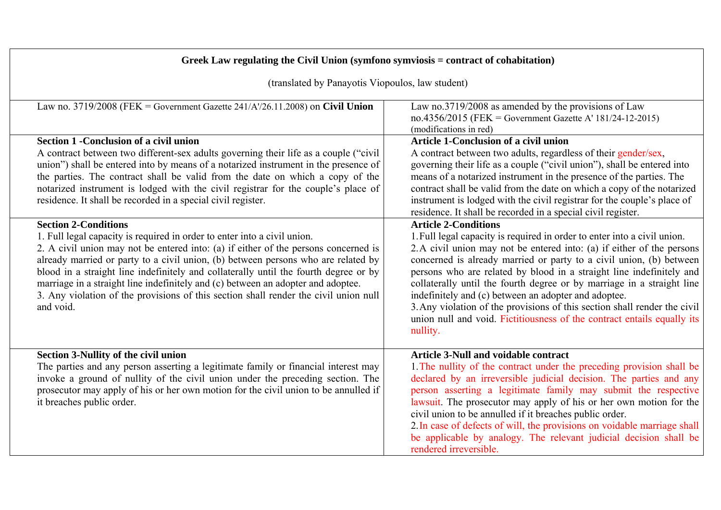| Greek Law regulating the Civil Union (symfono symviosis = contract of cohabitation)                                                                                                                                                                                                                                                                                                                                                                                                                                                   |                                                                                                                                                                                                                                                                                                                                                                                                                                                                                                                                                                                                         |  |
|---------------------------------------------------------------------------------------------------------------------------------------------------------------------------------------------------------------------------------------------------------------------------------------------------------------------------------------------------------------------------------------------------------------------------------------------------------------------------------------------------------------------------------------|---------------------------------------------------------------------------------------------------------------------------------------------------------------------------------------------------------------------------------------------------------------------------------------------------------------------------------------------------------------------------------------------------------------------------------------------------------------------------------------------------------------------------------------------------------------------------------------------------------|--|
| (translated by Panayotis Viopoulos, law student)                                                                                                                                                                                                                                                                                                                                                                                                                                                                                      |                                                                                                                                                                                                                                                                                                                                                                                                                                                                                                                                                                                                         |  |
| Law no. 3719/2008 (FEK = Government Gazette $241/A$ /26.11.2008) on Civil Union                                                                                                                                                                                                                                                                                                                                                                                                                                                       | Law no.3719/2008 as amended by the provisions of Law<br>no.4356/2015 (FEK = Government Gazette A' 181/24-12-2015)<br>(modifications in red)                                                                                                                                                                                                                                                                                                                                                                                                                                                             |  |
| Section 1 - Conclusion of a civil union<br>A contract between two different-sex adults governing their life as a couple ("civil"<br>union") shall be entered into by means of a notarized instrument in the presence of<br>the parties. The contract shall be valid from the date on which a copy of the<br>notarized instrument is lodged with the civil registrar for the couple's place of<br>residence. It shall be recorded in a special civil register.<br><b>Section 2-Conditions</b>                                          | <b>Article 1-Conclusion of a civil union</b><br>A contract between two adults, regardless of their gender/sex,<br>governing their life as a couple ("civil union"), shall be entered into<br>means of a notarized instrument in the presence of the parties. The<br>contract shall be valid from the date on which a copy of the notarized<br>instrument is lodged with the civil registrar for the couple's place of<br>residence. It shall be recorded in a special civil register.<br><b>Article 2-Conditions</b>                                                                                    |  |
| 1. Full legal capacity is required in order to enter into a civil union.<br>2. A civil union may not be entered into: (a) if either of the persons concerned is<br>already married or party to a civil union, (b) between persons who are related by<br>blood in a straight line indefinitely and collaterally until the fourth degree or by<br>marriage in a straight line indefinitely and (c) between an adopter and adoptee.<br>3. Any violation of the provisions of this section shall render the civil union null<br>and void. | 1. Full legal capacity is required in order to enter into a civil union.<br>2. A civil union may not be entered into: (a) if either of the persons<br>concerned is already married or party to a civil union, (b) between<br>persons who are related by blood in a straight line indefinitely and<br>collaterally until the fourth degree or by marriage in a straight line<br>indefinitely and (c) between an adopter and adoptee.<br>3. Any violation of the provisions of this section shall render the civil<br>union null and void. Fictitiousness of the contract entails equally its<br>nullity. |  |
| Section 3-Nullity of the civil union<br>The parties and any person asserting a legitimate family or financial interest may<br>invoke a ground of nullity of the civil union under the preceding section. The<br>prosecutor may apply of his or her own motion for the civil union to be annulled if<br>it breaches public order.                                                                                                                                                                                                      | <b>Article 3-Null and voidable contract</b><br>1. The nullity of the contract under the preceding provision shall be<br>declared by an irreversible judicial decision. The parties and any<br>person asserting a legitimate family may submit the respective<br>lawsuit. The prosecutor may apply of his or her own motion for the<br>civil union to be annulled if it breaches public order.<br>2. In case of defects of will, the provisions on voidable marriage shall<br>be applicable by analogy. The relevant judicial decision shall be<br>rendered irreversible.                                |  |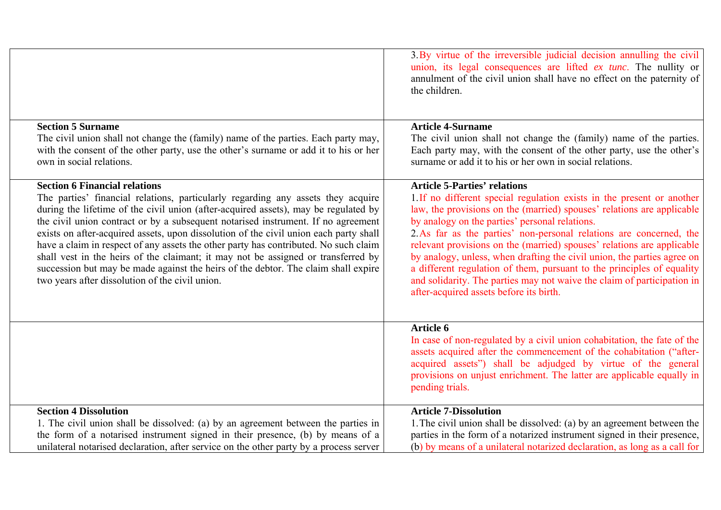|                                                                                                                                                                                                                                                                                                                                                                                                                                                                                                                                                                                                                                                                                                                     | 3. By virtue of the irreversible judicial decision annulling the civil<br>union, its legal consequences are lifted <i>ex tunc</i> . The nullity or<br>annulment of the civil union shall have no effect on the paternity of<br>the children.                                                                                                                                                                                                                                                                                                                                                                                                                          |
|---------------------------------------------------------------------------------------------------------------------------------------------------------------------------------------------------------------------------------------------------------------------------------------------------------------------------------------------------------------------------------------------------------------------------------------------------------------------------------------------------------------------------------------------------------------------------------------------------------------------------------------------------------------------------------------------------------------------|-----------------------------------------------------------------------------------------------------------------------------------------------------------------------------------------------------------------------------------------------------------------------------------------------------------------------------------------------------------------------------------------------------------------------------------------------------------------------------------------------------------------------------------------------------------------------------------------------------------------------------------------------------------------------|
| <b>Section 5 Surname</b><br>The civil union shall not change the (family) name of the parties. Each party may,<br>with the consent of the other party, use the other's surname or add it to his or her<br>own in social relations.                                                                                                                                                                                                                                                                                                                                                                                                                                                                                  | <b>Article 4-Surname</b><br>The civil union shall not change the (family) name of the parties.<br>Each party may, with the consent of the other party, use the other's<br>surname or add it to his or her own in social relations.                                                                                                                                                                                                                                                                                                                                                                                                                                    |
| <b>Section 6 Financial relations</b><br>The parties' financial relations, particularly regarding any assets they acquire<br>during the lifetime of the civil union (after-acquired assets), may be regulated by<br>the civil union contract or by a subsequent notarised instrument. If no agreement<br>exists on after-acquired assets, upon dissolution of the civil union each party shall<br>have a claim in respect of any assets the other party has contributed. No such claim<br>shall vest in the heirs of the claimant; it may not be assigned or transferred by<br>succession but may be made against the heirs of the debtor. The claim shall expire<br>two years after dissolution of the civil union. | <b>Article 5-Parties' relations</b><br>1. If no different special regulation exists in the present or another<br>law, the provisions on the (married) spouses' relations are applicable<br>by analogy on the parties' personal relations.<br>2. As far as the parties' non-personal relations are concerned, the<br>relevant provisions on the (married) spouses' relations are applicable<br>by analogy, unless, when drafting the civil union, the parties agree on<br>a different regulation of them, pursuant to the principles of equality<br>and solidarity. The parties may not waive the claim of participation in<br>after-acquired assets before its birth. |
|                                                                                                                                                                                                                                                                                                                                                                                                                                                                                                                                                                                                                                                                                                                     | Article 6<br>In case of non-regulated by a civil union cohabitation, the fate of the<br>assets acquired after the commencement of the cohabitation ("after-<br>acquired assets") shall be adjudged by virtue of the general<br>provisions on unjust enrichment. The latter are applicable equally in<br>pending trials.                                                                                                                                                                                                                                                                                                                                               |
| <b>Section 4 Dissolution</b><br>1. The civil union shall be dissolved: (a) by an agreement between the parties in<br>the form of a notarised instrument signed in their presence, (b) by means of a<br>unilateral notarised declaration, after service on the other party by a process server                                                                                                                                                                                                                                                                                                                                                                                                                       | <b>Article 7-Dissolution</b><br>1. The civil union shall be dissolved: (a) by an agreement between the<br>parties in the form of a notarized instrument signed in their presence,<br>(b) by means of a unilateral notarized declaration, as long as a call for                                                                                                                                                                                                                                                                                                                                                                                                        |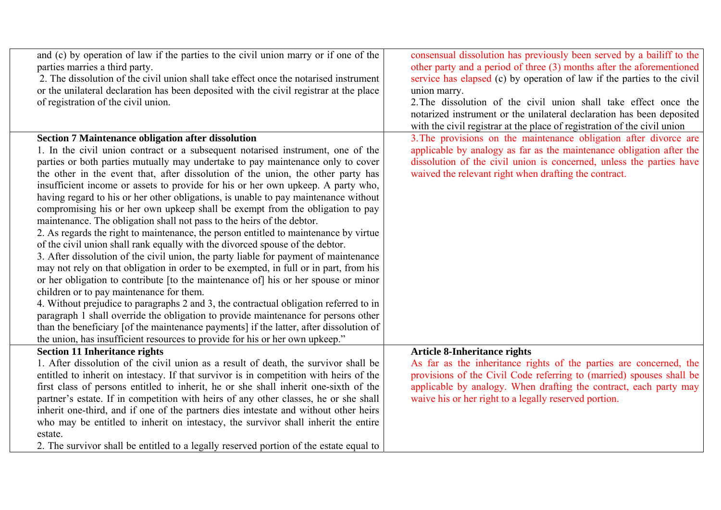| and (c) by operation of law if the parties to the civil union marry or if one of the<br>parties marries a third party.<br>2. The dissolution of the civil union shall take effect once the notarised instrument<br>or the unilateral declaration has been deposited with the civil registrar at the place<br>of registration of the civil union.                                                                                                                                                                                                                                                                                                                                                                                                                                                                                                                                                                                                                                                                                                                                                                                                                                                                                                                                                                                                                                                                                                                                                               | consensual dissolution has previously been served by a bailiff to the<br>other party and a period of three (3) months after the aforementioned<br>service has elapsed (c) by operation of law if the parties to the civil<br>union marry.<br>2. The dissolution of the civil union shall take effect once the<br>notarized instrument or the unilateral declaration has been deposited<br>with the civil registrar at the place of registration of the civil union |
|----------------------------------------------------------------------------------------------------------------------------------------------------------------------------------------------------------------------------------------------------------------------------------------------------------------------------------------------------------------------------------------------------------------------------------------------------------------------------------------------------------------------------------------------------------------------------------------------------------------------------------------------------------------------------------------------------------------------------------------------------------------------------------------------------------------------------------------------------------------------------------------------------------------------------------------------------------------------------------------------------------------------------------------------------------------------------------------------------------------------------------------------------------------------------------------------------------------------------------------------------------------------------------------------------------------------------------------------------------------------------------------------------------------------------------------------------------------------------------------------------------------|--------------------------------------------------------------------------------------------------------------------------------------------------------------------------------------------------------------------------------------------------------------------------------------------------------------------------------------------------------------------------------------------------------------------------------------------------------------------|
| <b>Section 7 Maintenance obligation after dissolution</b><br>1. In the civil union contract or a subsequent notarised instrument, one of the<br>parties or both parties mutually may undertake to pay maintenance only to cover<br>the other in the event that, after dissolution of the union, the other party has<br>insufficient income or assets to provide for his or her own upkeep. A party who,<br>having regard to his or her other obligations, is unable to pay maintenance without<br>compromising his or her own upkeep shall be exempt from the obligation to pay<br>maintenance. The obligation shall not pass to the heirs of the debtor.<br>2. As regards the right to maintenance, the person entitled to maintenance by virtue<br>of the civil union shall rank equally with the divorced spouse of the debtor.<br>3. After dissolution of the civil union, the party liable for payment of maintenance<br>may not rely on that obligation in order to be exempted, in full or in part, from his<br>or her obligation to contribute [to the maintenance of] his or her spouse or minor<br>children or to pay maintenance for them.<br>4. Without prejudice to paragraphs 2 and 3, the contractual obligation referred to in<br>paragraph 1 shall override the obligation to provide maintenance for persons other<br>than the beneficiary [of the maintenance payments] if the latter, after dissolution of<br>the union, has insufficient resources to provide for his or her own upkeep." | 3. The provisions on the maintenance obligation after divorce are<br>applicable by analogy as far as the maintenance obligation after the<br>dissolution of the civil union is concerned, unless the parties have<br>waived the relevant right when drafting the contract.                                                                                                                                                                                         |
| <b>Section 11 Inheritance rights</b><br>1. After dissolution of the civil union as a result of death, the survivor shall be<br>entitled to inherit on intestacy. If that survivor is in competition with heirs of the<br>first class of persons entitled to inherit, he or she shall inherit one-sixth of the<br>partner's estate. If in competition with heirs of any other classes, he or she shall<br>inherit one-third, and if one of the partners dies intestate and without other heirs<br>who may be entitled to inherit on intestacy, the survivor shall inherit the entire<br>estate.<br>2. The survivor shall be entitled to a legally reserved portion of the estate equal to                                                                                                                                                                                                                                                                                                                                                                                                                                                                                                                                                                                                                                                                                                                                                                                                                       | <b>Article 8-Inheritance rights</b><br>As far as the inheritance rights of the parties are concerned, the<br>provisions of the Civil Code referring to (married) spouses shall be<br>applicable by analogy. When drafting the contract, each party may<br>waive his or her right to a legally reserved portion.                                                                                                                                                    |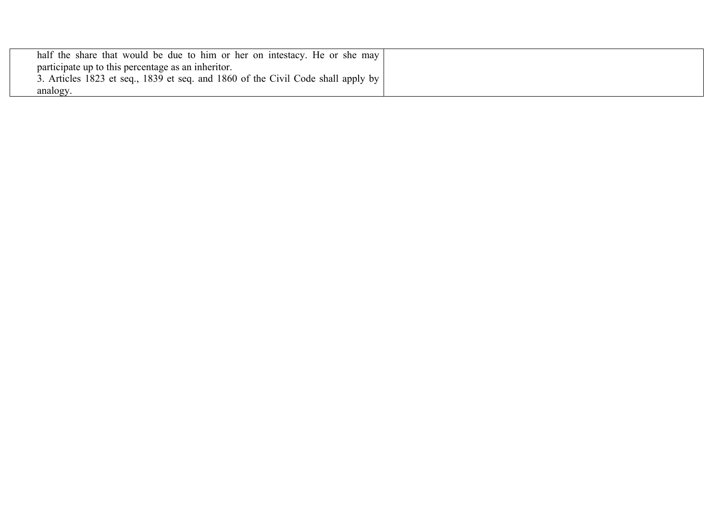| half the share that would be due to him or her on intestacy. He or she may       |  |
|----------------------------------------------------------------------------------|--|
| participate up to this percentage as an inheritor.                               |  |
| 3. Articles 1823 et seq., 1839 et seq. and 1860 of the Civil Code shall apply by |  |
| analogy.                                                                         |  |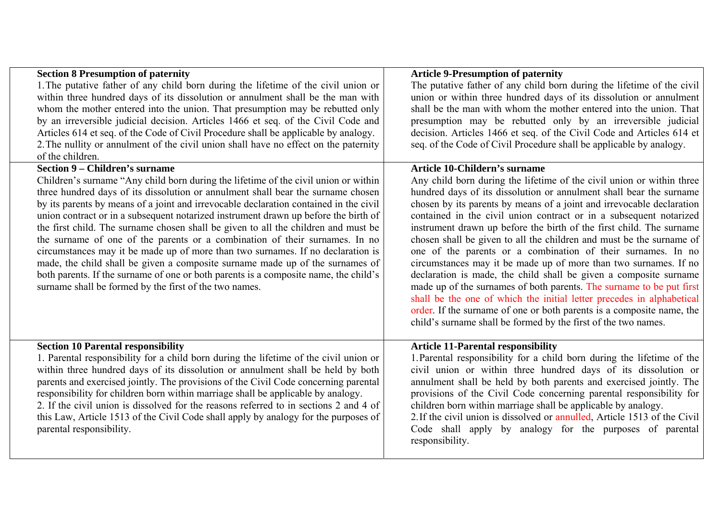| <b>Section 8 Presumption of paternity</b>                                                                                                                                                                                                                                                                                                                                                                                                                                                                                                                                                                                                                                                                                                                                                                                                          | <b>Article 9-Presumption of paternity</b>                                                                                                                                                                                                                                                                                                                                                                                                                                                                                                                                                                                                                                                                                                                                                                                                                                                                                                        |
|----------------------------------------------------------------------------------------------------------------------------------------------------------------------------------------------------------------------------------------------------------------------------------------------------------------------------------------------------------------------------------------------------------------------------------------------------------------------------------------------------------------------------------------------------------------------------------------------------------------------------------------------------------------------------------------------------------------------------------------------------------------------------------------------------------------------------------------------------|--------------------------------------------------------------------------------------------------------------------------------------------------------------------------------------------------------------------------------------------------------------------------------------------------------------------------------------------------------------------------------------------------------------------------------------------------------------------------------------------------------------------------------------------------------------------------------------------------------------------------------------------------------------------------------------------------------------------------------------------------------------------------------------------------------------------------------------------------------------------------------------------------------------------------------------------------|
| 1. The putative father of any child born during the lifetime of the civil union or                                                                                                                                                                                                                                                                                                                                                                                                                                                                                                                                                                                                                                                                                                                                                                 | The putative father of any child born during the lifetime of the civil                                                                                                                                                                                                                                                                                                                                                                                                                                                                                                                                                                                                                                                                                                                                                                                                                                                                           |
| within three hundred days of its dissolution or annulment shall be the man with                                                                                                                                                                                                                                                                                                                                                                                                                                                                                                                                                                                                                                                                                                                                                                    | union or within three hundred days of its dissolution or annulment                                                                                                                                                                                                                                                                                                                                                                                                                                                                                                                                                                                                                                                                                                                                                                                                                                                                               |
| whom the mother entered into the union. That presumption may be rebutted only                                                                                                                                                                                                                                                                                                                                                                                                                                                                                                                                                                                                                                                                                                                                                                      | shall be the man with whom the mother entered into the union. That                                                                                                                                                                                                                                                                                                                                                                                                                                                                                                                                                                                                                                                                                                                                                                                                                                                                               |
| by an irreversible judicial decision. Articles 1466 et seq. of the Civil Code and                                                                                                                                                                                                                                                                                                                                                                                                                                                                                                                                                                                                                                                                                                                                                                  | presumption may be rebutted only by an irreversible judicial                                                                                                                                                                                                                                                                                                                                                                                                                                                                                                                                                                                                                                                                                                                                                                                                                                                                                     |
| Articles 614 et seq. of the Code of Civil Procedure shall be applicable by analogy.<br>2. The nullity or annulment of the civil union shall have no effect on the paternity                                                                                                                                                                                                                                                                                                                                                                                                                                                                                                                                                                                                                                                                        | decision. Articles 1466 et seq. of the Civil Code and Articles 614 et<br>seq. of the Code of Civil Procedure shall be applicable by analogy.                                                                                                                                                                                                                                                                                                                                                                                                                                                                                                                                                                                                                                                                                                                                                                                                     |
| of the children.                                                                                                                                                                                                                                                                                                                                                                                                                                                                                                                                                                                                                                                                                                                                                                                                                                   |                                                                                                                                                                                                                                                                                                                                                                                                                                                                                                                                                                                                                                                                                                                                                                                                                                                                                                                                                  |
| <b>Section 9 – Children's surname</b>                                                                                                                                                                                                                                                                                                                                                                                                                                                                                                                                                                                                                                                                                                                                                                                                              | <b>Article 10-Childern's surname</b>                                                                                                                                                                                                                                                                                                                                                                                                                                                                                                                                                                                                                                                                                                                                                                                                                                                                                                             |
| Children's surname "Any child born during the lifetime of the civil union or within<br>three hundred days of its dissolution or annulment shall bear the surname chosen<br>by its parents by means of a joint and irrevocable declaration contained in the civil<br>union contract or in a subsequent notarized instrument drawn up before the birth of<br>the first child. The surname chosen shall be given to all the children and must be<br>the surname of one of the parents or a combination of their surnames. In no<br>circumstances may it be made up of more than two surnames. If no declaration is<br>made, the child shall be given a composite surname made up of the surnames of<br>both parents. If the surname of one or both parents is a composite name, the child's<br>surname shall be formed by the first of the two names. | Any child born during the lifetime of the civil union or within three<br>hundred days of its dissolution or annulment shall bear the surname<br>chosen by its parents by means of a joint and irrevocable declaration<br>contained in the civil union contract or in a subsequent notarized<br>instrument drawn up before the birth of the first child. The surname<br>chosen shall be given to all the children and must be the surname of<br>one of the parents or a combination of their surnames. In no<br>circumstances may it be made up of more than two surnames. If no<br>declaration is made, the child shall be given a composite surname<br>made up of the surnames of both parents. The surname to be put first<br>shall be the one of which the initial letter precedes in alphabetical<br>order. If the surname of one or both parents is a composite name, the<br>child's surname shall be formed by the first of the two names. |
| <b>Section 10 Parental responsibility</b><br>1. Parental responsibility for a child born during the lifetime of the civil union or<br>within three hundred days of its dissolution or annulment shall be held by both<br>parents and exercised jointly. The provisions of the Civil Code concerning parental<br>responsibility for children born within marriage shall be applicable by analogy.<br>2. If the civil union is dissolved for the reasons referred to in sections 2 and 4 of<br>this Law, Article 1513 of the Civil Code shall apply by analogy for the purposes of<br>parental responsibility.                                                                                                                                                                                                                                       | <b>Article 11-Parental responsibility</b><br>1. Parental responsibility for a child born during the lifetime of the<br>civil union or within three hundred days of its dissolution or<br>annulment shall be held by both parents and exercised jointly. The<br>provisions of the Civil Code concerning parental responsibility for<br>children born within marriage shall be applicable by analogy.<br>2. If the civil union is dissolved or annulled, Article 1513 of the Civil<br>Code shall apply by analogy for the purposes of parental<br>responsibility.                                                                                                                                                                                                                                                                                                                                                                                  |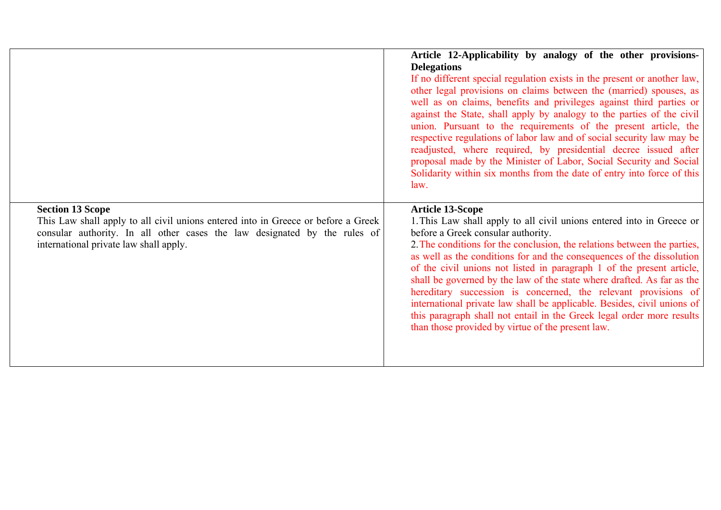|                                                                                                                                                                                                                                     | Article 12-Applicability by analogy of the other provisions-<br><b>Delegations</b><br>If no different special regulation exists in the present or another law,<br>other legal provisions on claims between the (married) spouses, as<br>well as on claims, benefits and privileges against third parties or<br>against the State, shall apply by analogy to the parties of the civil<br>union. Pursuant to the requirements of the present article, the<br>respective regulations of labor law and of social security law may be<br>readjusted, where required, by presidential decree issued after<br>proposal made by the Minister of Labor, Social Security and Social<br>Solidarity within six months from the date of entry into force of this<br>law. |
|-------------------------------------------------------------------------------------------------------------------------------------------------------------------------------------------------------------------------------------|-------------------------------------------------------------------------------------------------------------------------------------------------------------------------------------------------------------------------------------------------------------------------------------------------------------------------------------------------------------------------------------------------------------------------------------------------------------------------------------------------------------------------------------------------------------------------------------------------------------------------------------------------------------------------------------------------------------------------------------------------------------|
| <b>Section 13 Scope</b><br>This Law shall apply to all civil unions entered into in Greece or before a Greek<br>consular authority. In all other cases the law designated by the rules of<br>international private law shall apply. | <b>Article 13-Scope</b><br>1. This Law shall apply to all civil unions entered into in Greece or<br>before a Greek consular authority.<br>2. The conditions for the conclusion, the relations between the parties,<br>as well as the conditions for and the consequences of the dissolution<br>of the civil unions not listed in paragraph 1 of the present article,<br>shall be governed by the law of the state where drafted. As far as the<br>hereditary succession is concerned, the relevant provisions of<br>international private law shall be applicable. Besides, civil unions of<br>this paragraph shall not entail in the Greek legal order more results<br>than those provided by virtue of the present law.                                   |